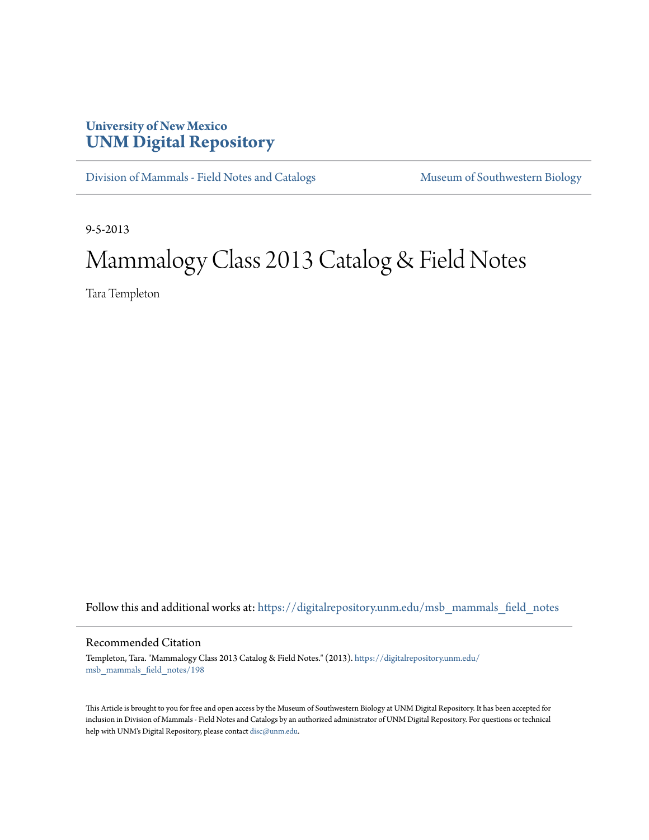## **University of New Mexico [UNM Digital Repository](https://digitalrepository.unm.edu?utm_source=digitalrepository.unm.edu%2Fmsb_mammals_field_notes%2F198&utm_medium=PDF&utm_campaign=PDFCoverPages)**

[Division of Mammals - Field Notes and Catalogs](https://digitalrepository.unm.edu/msb_mammals_field_notes?utm_source=digitalrepository.unm.edu%2Fmsb_mammals_field_notes%2F198&utm_medium=PDF&utm_campaign=PDFCoverPages) [Museum of Southwestern Biology](https://digitalrepository.unm.edu/msb?utm_source=digitalrepository.unm.edu%2Fmsb_mammals_field_notes%2F198&utm_medium=PDF&utm_campaign=PDFCoverPages)

9-5-2013

## Mammalogy Class 2013 Catalog & Field Notes

Tara Templeton

Follow this and additional works at: [https://digitalrepository.unm.edu/msb\\_mammals\\_field\\_notes](https://digitalrepository.unm.edu/msb_mammals_field_notes?utm_source=digitalrepository.unm.edu%2Fmsb_mammals_field_notes%2F198&utm_medium=PDF&utm_campaign=PDFCoverPages)

## Recommended Citation

Templeton, Tara. "Mammalogy Class 2013 Catalog & Field Notes." (2013). [https://digitalrepository.unm.edu/](https://digitalrepository.unm.edu/msb_mammals_field_notes/198?utm_source=digitalrepository.unm.edu%2Fmsb_mammals_field_notes%2F198&utm_medium=PDF&utm_campaign=PDFCoverPages) [msb\\_mammals\\_field\\_notes/198](https://digitalrepository.unm.edu/msb_mammals_field_notes/198?utm_source=digitalrepository.unm.edu%2Fmsb_mammals_field_notes%2F198&utm_medium=PDF&utm_campaign=PDFCoverPages)

This Article is brought to you for free and open access by the Museum of Southwestern Biology at UNM Digital Repository. It has been accepted for inclusion in Division of Mammals - Field Notes and Catalogs by an authorized administrator of UNM Digital Repository. For questions or technical help with UNM's Digital Repository, please contact [disc@unm.edu](mailto:disc@unm.edu).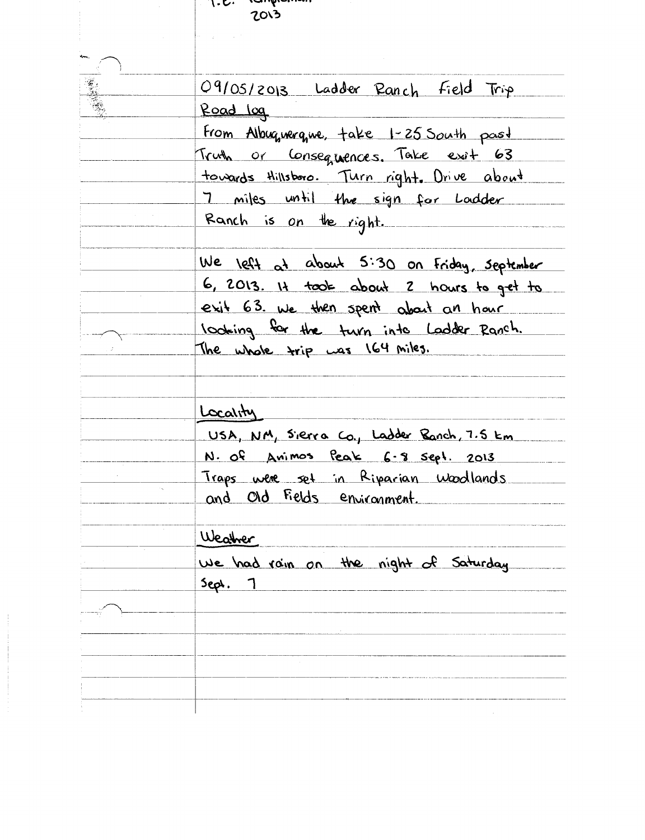| <u>1.2. candr</u><br>2013                  |
|--------------------------------------------|
|                                            |
|                                            |
| 09/05/2013 Ladder Ranch Field Trip         |
| Road log                                   |
| From Albuquerque, take 1-25 South past     |
| Truth or Consequences. Take exit 63        |
| towards Hillsboro. Turn right. Drive about |
| 7 miles until the sign for Ladder          |
| Ranch is on the right.                     |
| We left at about 5:30 on Friday, september |
| 6, 2013. It took about 2 hours to get to   |
| exit 63. We then spent about an hour       |
| looking for the turn into Ladder Ranch.    |
| The whole trip was 164 miles.              |
|                                            |
| Locality                                   |
| USA, NM, Sierra Co., Ladder Banch, 7.5 km  |
| N. Of Animos Peak 6-8 sept. 2013           |
| Traps were set in Riparian Woodlands       |
| and Old Fields environment.                |
|                                            |
| Weather                                    |
| We had rain on the night of Saturday       |
| $5eph.$ 1                                  |
|                                            |
|                                            |
|                                            |
|                                            |
|                                            |
|                                            |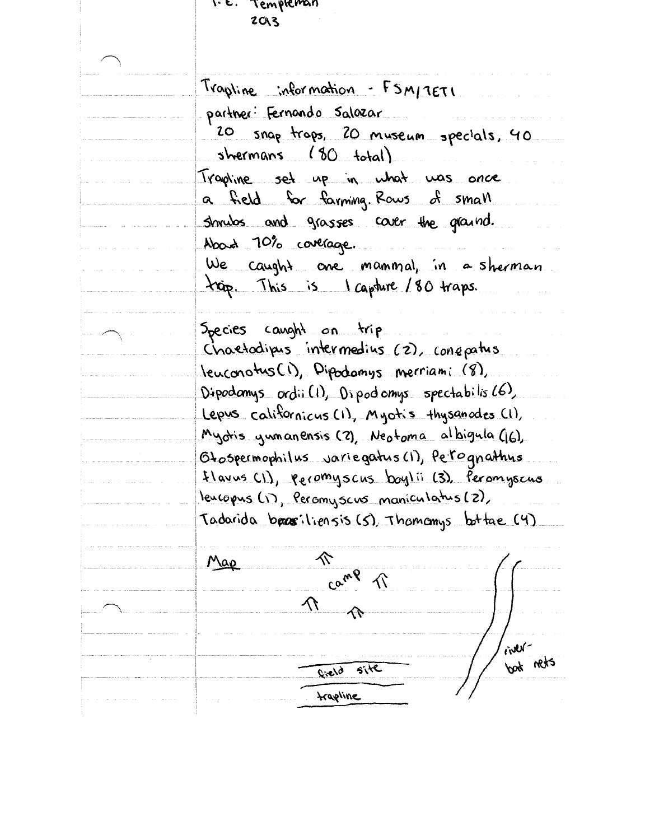1. E. Templeman  $2013$ Trapline information - FSM/7ETI partner: Fernando Salazar 20 snap traps, 20 museum specials, 40 shermans (80 total) Trapline set up in what was once a field for farming Rows of small shrubs and grasses caver the graind. Abord 70% coverage. We caught one manimal, in a sherman trip. This is capture /80 traps. Species caught on trip Chaetodipus intermedius (2), conquatus Jeuconotus (1), Dipodomys merriami (8), Dipodamys ordii(1), Dipodomys spectabilis (6) Lepus californicus (1), Myotis thysanodes (1), Myotis yumanensis (2), Neotoma albigula (6), Otospermophilus variegatus (1), Petognathus flavus (1), recomyscus boylii (3), Peromyscus leucopus (1), Peromyscus maniculatus (2), Tadarida brasiliensis (5), Thomomys bottae (4) 仒 Map Camp ぐ へ - News bot nets  $Rield$  site *trapline*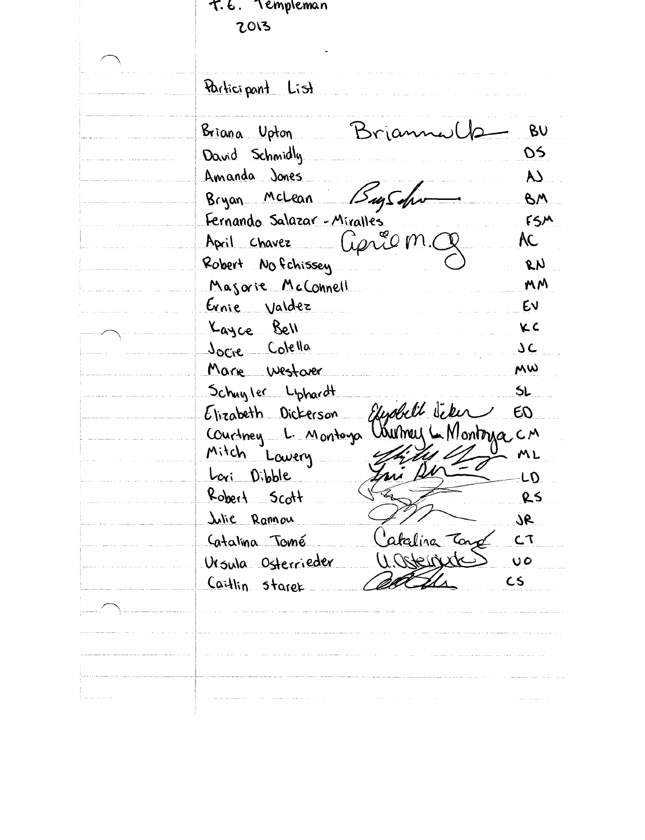T.E. Templeman 2013 Participant List BU Briana Upton Brian OS. David Schmidly Amanda Jones  $\overline{\mathsf{A}}$ Bugson Bryan McLean BM  $FSM$ Fernando Salazar - Miralles Geric m. AC. April Chavez Robert No fchissey  $\mathcal{R}$  $\mathcal{N}$ MM Majorie McConnell Ernie Valdez EV KC Kayce Bell JOCIE Colella **JC** MW Marie Westarer  $5L$ Schunler Liphardt Elenabell Jeke  $EQ$ Elizabeth Dickerson Courtney L. Montago Unimary L. Montoya CM Mitch Lavery ML Lori Dibble LD.  $R_{obert}$  Scott RS <u>Lilie</u> Rannou  $36$ ataliza Tong  $C$ Catalina Tomé U.Ostenische  $\overline{O}$ Ursula Osterrieder  $CS$ Caitlin stares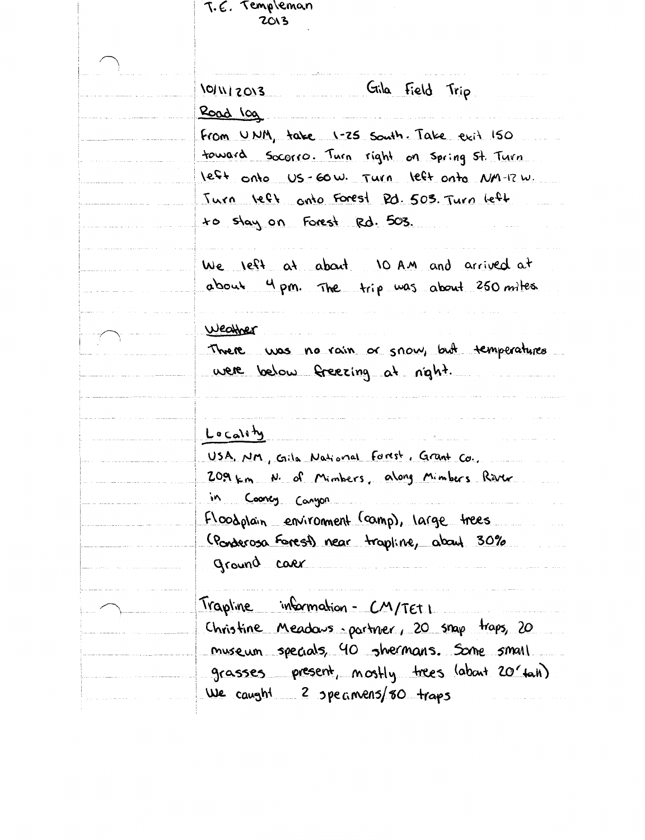| T.E. Templeman<br>2013                          |
|-------------------------------------------------|
|                                                 |
| Gila Field Trip<br>101112013                    |
| Road log                                        |
| From UNM, take 1-25 South. Take exit 150        |
| toward Socorro. Turn right on Spring St. Turn   |
| left onto US-60W. Turn left onto NM-12W.        |
| <u>Turn</u> left onto Forest Rd. 503. Turn left |
| to stay on Forest Rd. 503.                      |
| We left at about 10 AM and arrived at           |
| about 4 pm. The trip was about 250 miles        |
| Weather                                         |
| There was no rain or snow, but temperatures     |
| were below freezing at night.                   |
|                                                 |
| Locality                                        |
| USA. NM, Gila National Fortst, Grant Co.        |
| 209 km N. of Mimbers, along Mimbers River       |
| ۱n.<br>Cooncy Canyon                            |
| Floodplain environment (camp), large trees      |
| (Ponderosa Forest) near trapline, about 30%     |
| ground caer                                     |
| Trapline information - CM/TET I                 |
| Christine Meadows partner, 20 snap traps, 20    |
| <u>museum specials, 40 shermans. Some small</u> |
| grasses present, mostly trees (about 20 tail)   |
| We caught 2 specimens/80 traps                  |
|                                                 |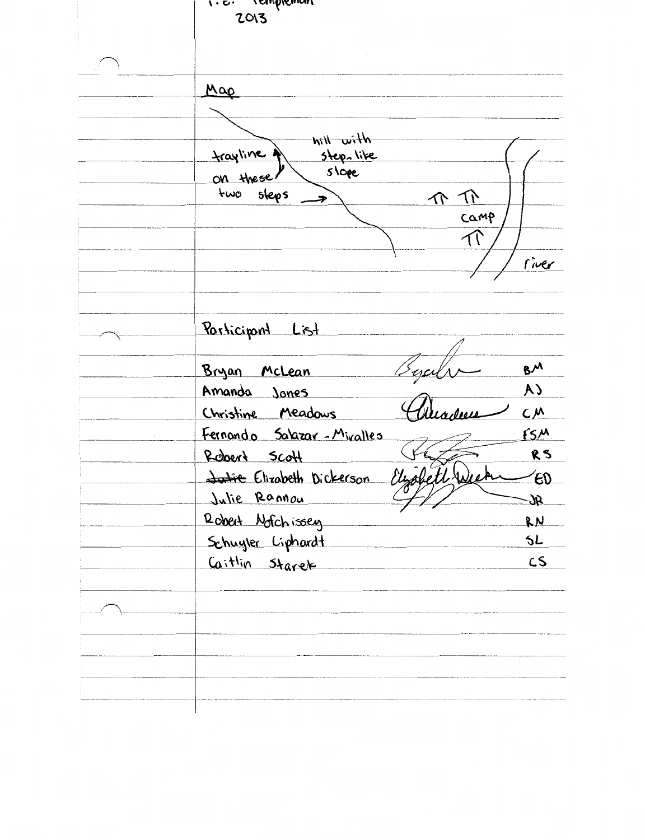1.6. remplement 2013 Map Atiw hit Step-like trayline  $s\overline{\vee}$ on these sleps two  $\Lambda$  Tr Camp  $\overline{\mathcal{N}}$ river Participant List  $8<sup>M</sup>$ Bryan McLean Amanda Jones **CA**  $C_{\mu}$ Christine Meadows  $f5M$ Fernando Salazar-Miralles RS Report Scott Elizabeth to <del>Julie</del> Elizabeth Dickerson  $\epsilon$ Julie Rannou **SC** Robert Notchissey RN Schuyler Liphardt SL. Caitlin Starek  $CS$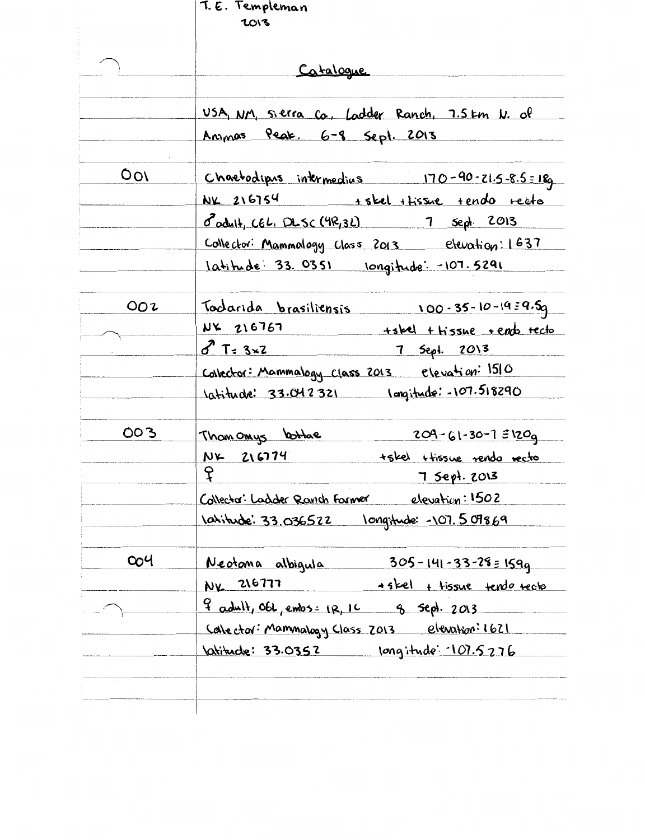|     | T. E. Templeman<br>2013                                      |
|-----|--------------------------------------------------------------|
|     |                                                              |
|     | Catalogue                                                    |
|     | <u>USA, NM, sierra co, Ladder Ranch, 7.5 km N. of</u>        |
|     | <u>Anynas Peak. 6-8 Sept. 2013</u>                           |
| 001 | Chaetodipus intermedius 170-90-21.5-8.5:18g                  |
|     | $NK$ 216754 + skel + tissue + endo + eeto                    |
|     | $3^{2}$ adult, CEL. DLSC (4R, 3L) 7 sept. 2013               |
|     | Collector: Mammalogy Class 2013 elevation: 1637              |
|     | <u>latitude 33.0351 longitude: -107.5291</u>                 |
| OO2 | Todarida brasiliensis 100-35-10-1939.5g                      |
|     | $NK$ 216767 +shel + $H$ issue + ends tecto                   |
|     | $3x^2$ T= 3x2 7 Sept. 2013                                   |
|     | Collector: Mammalogy class 2013 elevation: 1510              |
|     | 10titude: 33.042321 Imgitude: - 107.518290                   |
| 003 | $209 - 61 - 30 - 7 = 1209$<br>Than onlys lottae              |
|     | NK 216774<br>tskel ttissue rendo recto                       |
|     | င့္<br>7 Sept. 2013                                          |
|     | Collector: Ladder Ranch Former elevation: 1502               |
|     | 1atitude: 33.036522 101gitude: -107.509869                   |
| 004 | <u>305 - 141 - 33 - 28 = 159q</u><br><u>Neotoma albiqula</u> |
|     | NX 216777<br>+skel + tissue tendo recto                      |
|     | $\frac{9}{1}$ adult, Obl, embs: $(R, 10$ g sept. $2013$      |
|     | Calector: Mammalogy Class 2013 elevation: 1621               |
|     | <u>Vatitude: 33.0352 Iongitude: 107.5276</u>                 |
|     |                                                              |
|     |                                                              |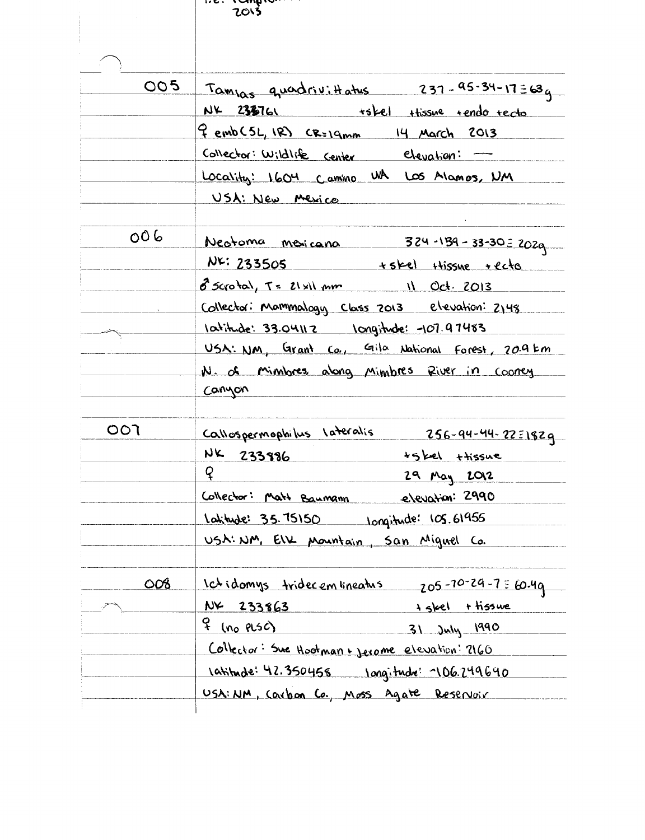$1.6.$  1976 . . . . . .

| 005        | $Tann_{\alpha s}$ quadrivittatus 237-95-34-17=63q    |
|------------|------------------------------------------------------|
|            | NK 2330761 +skel thissue tendo tecto                 |
|            | <u> Gemb (5L, IR) CR=19mm 14 March 2013</u>          |
|            | Collector: Wildlife center elevation: -              |
|            | Locality: 1604 Camino WA LOS Alamos, NM              |
|            | USA: New Mexico                                      |
| 006        | Neotoma mexicana 324-139-33-30 = 2029                |
|            | $NF: 233505$ +skel Hissue +ecto                      |
|            | 8 Scrotal, T= 21x11 mm 11 Oct. 2013                  |
|            | Collector: Mammalogy Class 2013 elevation: 2148      |
|            | <u>10titude: 33.04112 10ngitude: -107.97483</u>      |
|            | USA: NM, Grant Co., Gila National Forest, 20.9 km    |
|            | N. of Minibres, along Mimbres River in Cooney        |
|            | Canyon                                               |
| ००१        | <u>Callospermophilus lateralis 256-94-44-22=1829</u> |
|            | $NK$ 233986<br><u>+skel</u> thissue                  |
|            | $\mathsf{Q}$<br>29 May 2012                          |
|            | Collector: Matt Baumann elevation: 2990              |
|            | <u>latitude: 35.75150 10ngitude: 105.61955</u>       |
|            | USA: NM, EIX Mountain, San Miguel Co.                |
| <u>008</u> | <u>Ictidomys</u> tridecembreatus 205-70-29-7 = 60.49 |
|            | NX 233863<br>+ skel + tissue                         |
|            | <u>q (no plsc)</u><br>31 July 1990                   |
|            | Collector: Sue Hootman + Jerome elevation: 2160      |
|            | <u>1atitude: 42.350458 1ongitude: 106.249640</u>     |
|            | USA: NM, Carbon Co., Moss Agate Reservoir            |
|            |                                                      |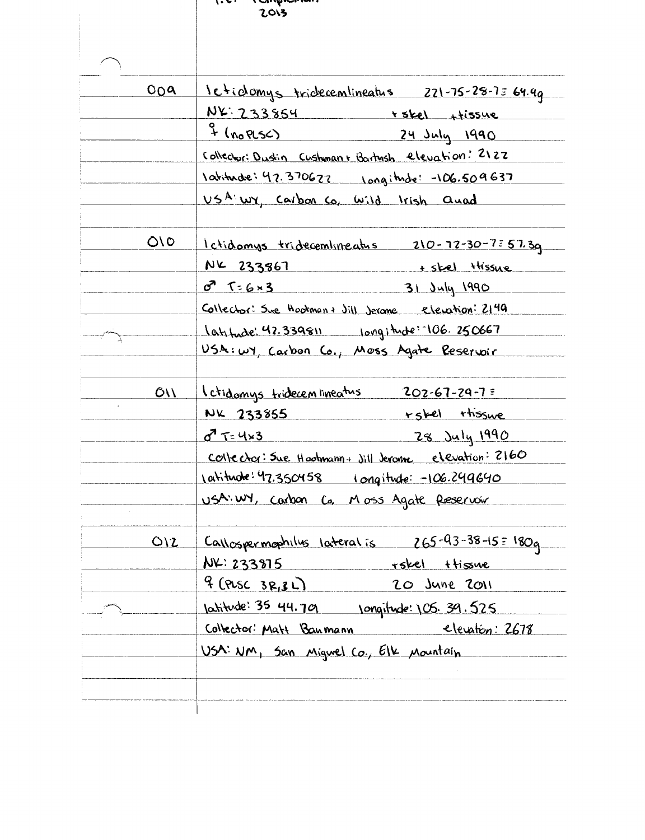| 009  | <u>1eticlomys triclecemlineatus 221-75-28-75 64.4q</u> |
|------|--------------------------------------------------------|
|      | $NY: 233854$ + skel + + issue                          |
|      | 24 July 1990                                           |
|      | Collector: Dustin Cushman+ Bartush elevation: 2122     |
|      | <u>1atitude: 47.370627 100gitude: -106.509637</u>      |
|      | USA WY, Carbon Co, wild Irish and                      |
| O/O  | <u>Ictidomys tridecembineatus 210-72-30-7:57.39</u>    |
|      | NK 233867 + skel thissue                               |
|      | $0756 \times 3$ 31 July 1990                           |
|      | Collector: Sue Hootman+ Jill Jerone elevation: 2149    |
|      | latitude: 42.339811 longitude: 106.250667              |
|      | USA: WY, Carbon Co., Moss Agate Reservoir              |
| O(1) | <u>l ctidomys tridecembineatus 202-67-29-7:</u>        |
|      | $NK$ $233855$ $rskel$ thissue                          |
|      | 8 T=4x3 28 July 1990                                   |
|      | Collector: Sue Hootmann + Jill Jerome elevation: 2160  |
|      | <u>1atitude:47.350458 1 ongitude: -106.249640</u>      |
|      | USA: WY, Carbon Co. Moss Agate Reservoir               |
| O(2) | $\sim$ Callospermophilus lateralis 265-93-38-15 = 180g |
|      | $NF: 233975$ rskel ttissive                            |
|      | $9$ (PLSC 3R, 3L)<br>20 June 2011                      |
|      | <u>latitude: 35 44.79 (ongitude: 105.39.525)</u>       |
|      | <u>Collector: Matt Baumann elevation: 2678</u>         |
|      | <u>USA: NM, San Migwel Co., Elk Mountain</u>           |
|      |                                                        |
|      |                                                        |
|      |                                                        |